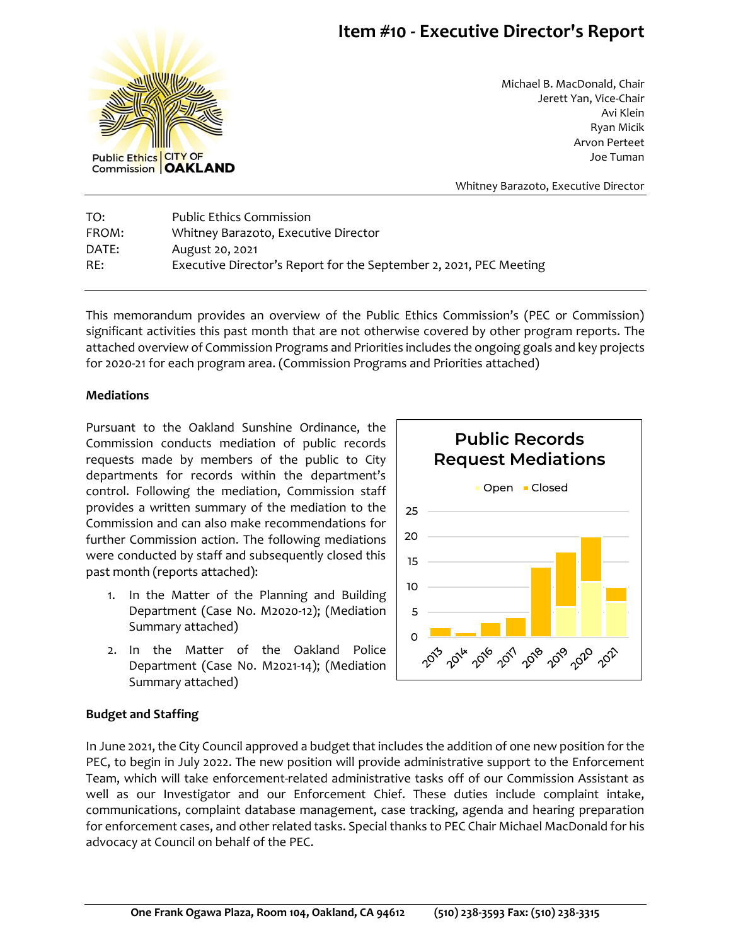## **Item #10 - Executive Director's Report**



Michael B. MacDonald, Chair Jerett Yan, Vice-Chair Avi Klein Ryan Micik Arvon Perteet Joe Tuman

Whitney Barazoto, Executive Director

TO: Public Ethics Commission FROM: Whitney Barazoto, Executive Director DATE: August 20, 2021 RE: Executive Director's Report for the September 2, 2021, PEC Meeting

This memorandum provides an overview of the Public Ethics Commission's (PEC or Commission) significant activities this past month that are not otherwise covered by other program reports. The attached overview of Commission Programs and Priorities includes the ongoing goals and key projects for 2020-21 for each program area. (Commission Programs and Priorities attached)

### **Mediations**

Pursuant to the Oakland Sunshine Ordinance, the Commission conducts mediation of public records requests made by members of the public to City departments for records within the department's control. Following the mediation, Commission staff provides a written summary of the mediation to the Commission and can also make recommendations for further Commission action. The following mediations were conducted by staff and subsequently closed this past month (reports attached):

- 1. In the Matter of the Planning and Building Department (Case No. M2020-12); (Mediation Summary attached)
- 2. In the Matter of the Oakland Police Department (Case N0. M2021-14); (Mediation Summary attached)



### **Budget and Staffing**

In June 2021, the City Council approved a budget that includes the addition of one new position for the PEC, to begin in July 2022. The new position will provide administrative support to the Enforcement Team, which will take enforcement-related administrative tasks off of our Commission Assistant as well as our Investigator and our Enforcement Chief. These duties include complaint intake, communications, complaint database management, case tracking, agenda and hearing preparation for enforcement cases, and other related tasks. Special thanks to PEC Chair Michael MacDonald for his advocacy at Council on behalf of the PEC.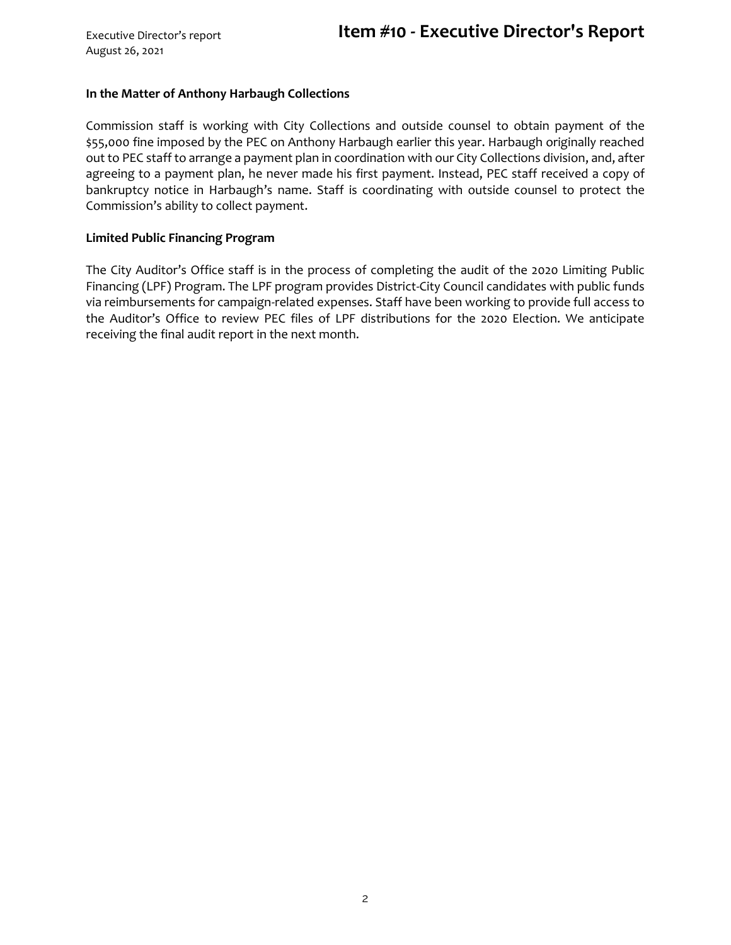#### **In the Matter of Anthony Harbaugh Collections**

Commission staff is working with City Collections and outside counsel to obtain payment of the \$55,000 fine imposed by the PEC on Anthony Harbaugh earlier this year. Harbaugh originally reached out to PEC staff to arrange a payment plan in coordination with our City Collections division, and, after agreeing to a payment plan, he never made his first payment. Instead, PEC staff received a copy of bankruptcy notice in Harbaugh's name. Staff is coordinating with outside counsel to protect the Commission's ability to collect payment.

#### **Limited Public Financing Program**

The City Auditor's Office staff is in the process of completing the audit of the 2020 Limiting Public Financing (LPF) Program. The LPF program provides District-City Council candidates with public funds via reimbursements for campaign-related expenses. Staff have been working to provide full access to the Auditor's Office to review PEC files of LPF distributions for the 2020 Election. We anticipate receiving the final audit report in the next month.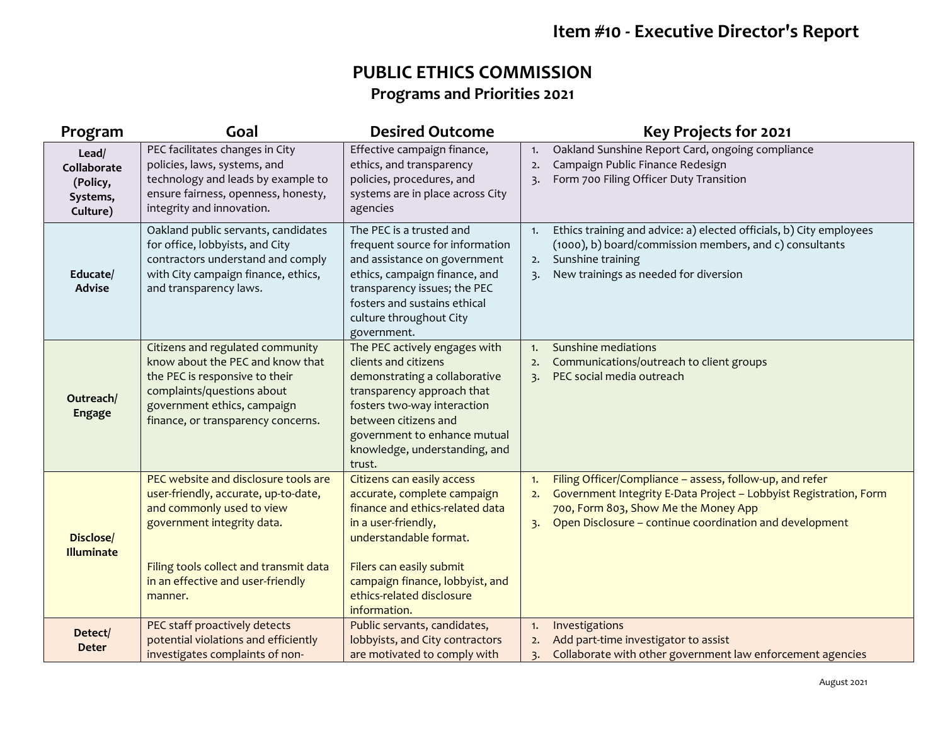# **Item #10 - Executive Director's Report**

## **PUBLIC ETHICS COMMISSION Programs and Priorities 2021**

| Program                                                  | Goal                                                                                                                                                                                                                              | <b>Desired Outcome</b>                                                                                                                                                                                                                                    | Key Projects for 2021                                                                                                                                                                                                                                            |
|----------------------------------------------------------|-----------------------------------------------------------------------------------------------------------------------------------------------------------------------------------------------------------------------------------|-----------------------------------------------------------------------------------------------------------------------------------------------------------------------------------------------------------------------------------------------------------|------------------------------------------------------------------------------------------------------------------------------------------------------------------------------------------------------------------------------------------------------------------|
| Lead/<br>Collaborate<br>(Policy,<br>Systems,<br>Culture) | PEC facilitates changes in City<br>policies, laws, systems, and<br>technology and leads by example to<br>ensure fairness, openness, honesty,<br>integrity and innovation.                                                         | Effective campaign finance,<br>ethics, and transparency<br>policies, procedures, and<br>systems are in place across City<br>agencies                                                                                                                      | Oakland Sunshine Report Card, ongoing compliance<br>1.<br>Campaign Public Finance Redesign<br>2.<br>Form 700 Filing Officer Duty Transition<br>$\overline{3}$ .                                                                                                  |
| Educate/<br><b>Advise</b>                                | Oakland public servants, candidates<br>for office, lobbyists, and City<br>contractors understand and comply<br>with City campaign finance, ethics,<br>and transparency laws.                                                      | The PEC is a trusted and<br>frequent source for information<br>and assistance on government<br>ethics, campaign finance, and<br>transparency issues; the PEC<br>fosters and sustains ethical<br>culture throughout City<br>government.                    | Ethics training and advice: a) elected officials, b) City employees<br>1.<br>(1000), b) board/commission members, and c) consultants<br>Sunshine training<br>2.<br>New trainings as needed for diversion<br>$\overline{3}$ .                                     |
| Outreach/<br><b>Engage</b>                               | Citizens and regulated community<br>know about the PEC and know that<br>the PEC is responsive to their<br>complaints/questions about<br>government ethics, campaign<br>finance, or transparency concerns.                         | The PEC actively engages with<br>clients and citizens<br>demonstrating a collaborative<br>transparency approach that<br>fosters two-way interaction<br>between citizens and<br>government to enhance mutual<br>knowledge, understanding, and<br>trust.    | Sunshine mediations<br>1.<br>Communications/outreach to client groups<br>2.<br>PEC social media outreach<br>$\overline{3}$ .                                                                                                                                     |
| Disclose/<br><b>Illuminate</b>                           | PEC website and disclosure tools are<br>user-friendly, accurate, up-to-date,<br>and commonly used to view<br>government integrity data.<br>Filing tools collect and transmit data<br>in an effective and user-friendly<br>manner. | Citizens can easily access<br>accurate, complete campaign<br>finance and ethics-related data<br>in a user-friendly,<br>understandable format.<br>Filers can easily submit<br>campaign finance, lobbyist, and<br>ethics-related disclosure<br>information. | Filing Officer/Compliance - assess, follow-up, and refer<br>1.<br>Government Integrity E-Data Project - Lobbyist Registration, Form<br>2.<br>700, Form 803, Show Me the Money App<br>Open Disclosure - continue coordination and development<br>$\overline{3}$ . |
| Detect/<br><b>Deter</b>                                  | PEC staff proactively detects<br>potential violations and efficiently<br>investigates complaints of non-                                                                                                                          | Public servants, candidates,<br>lobbyists, and City contractors<br>are motivated to comply with                                                                                                                                                           | Investigations<br>1.<br>Add part-time investigator to assist<br>2.<br>Collaborate with other government law enforcement agencies<br>3.                                                                                                                           |